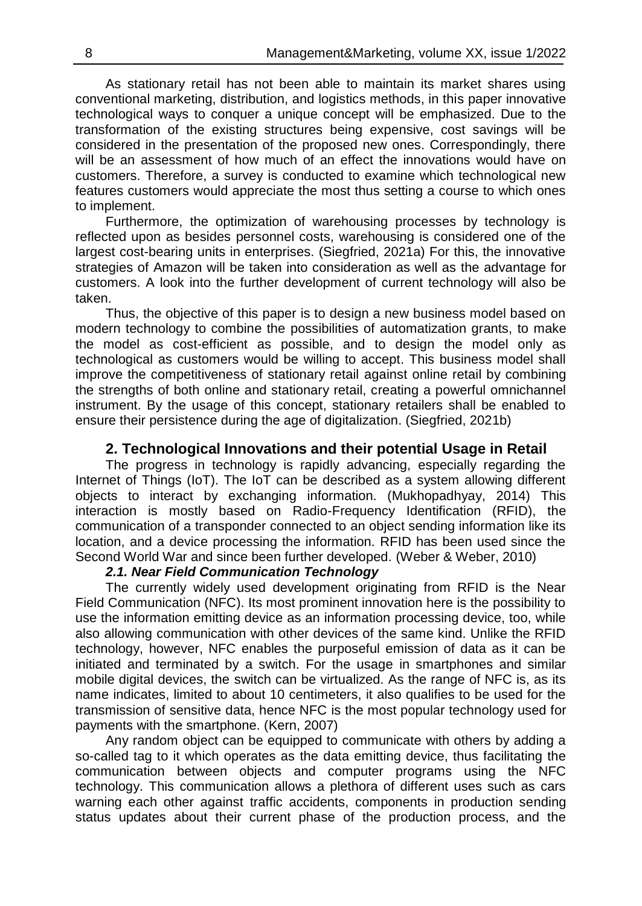As stationary retail has not been able to maintain its market shares using conventional marketing, distribution, and logistics methods, in this paper innovative technological ways to conquer a unique concept will be emphasized. Due to the transformation of the existing structures being expensive, cost savings will be considered in the presentation of the proposed new ones. Correspondingly, there will be an assessment of how much of an effect the innovations would have on customers. Therefore, a survey is conducted to examine which technological new features customers would appreciate the most thus setting a course to which ones to implement.

Furthermore, the optimization of warehousing processes by technology is reflected upon as besides personnel costs, warehousing is considered one of the largest cost-bearing units in enterprises. (Siegfried, 2021a) For this, the innovative strategies of Amazon will be taken into consideration as well as the advantage for customers. A look into the further development of current technology will also be taken.

Thus, the objective of this paper is to design a new business model based on modern technology to combine the possibilities of automatization grants, to make the model as cost-efficient as possible, and to design the model only as technological as customers would be willing to accept. This business model shall improve the competitiveness of stationary retail against online retail by combining the strengths of both online and stationary retail, creating a powerful omnichannel instrument. By the usage of this concept, stationary retailers shall be enabled to ensure their persistence during the age of digitalization. (Siegfried, 2021b)

## **2. Technological Innovations and their potential Usage in Retail**

The progress in technology is rapidly advancing, especially regarding the Internet of Things (IoT). The IoT can be described as a system allowing different objects to interact by exchanging information. (Mukhopadhyay, 2014) This interaction is mostly based on Radio-Frequency Identification (RFID), the communication of a transponder connected to an object sending information like its location, and a device processing the information. RFID has been used since the Second World War and since been further developed. (Weber & Weber, 2010)

#### *2.1. Near Field Communication Technology*

The currently widely used development originating from RFID is the Near Field Communication (NFC). Its most prominent innovation here is the possibility to use the information emitting device as an information processing device, too, while also allowing communication with other devices of the same kind. Unlike the RFID technology, however, NFC enables the purposeful emission of data as it can be initiated and terminated by a switch. For the usage in smartphones and similar mobile digital devices, the switch can be virtualized. As the range of NFC is, as its name indicates, limited to about 10 centimeters, it also qualifies to be used for the transmission of sensitive data, hence NFC is the most popular technology used for payments with the smartphone. (Kern, 2007)

Any random object can be equipped to communicate with others by adding a so-called tag to it which operates as the data emitting device, thus facilitating the communication between objects and computer programs using the NFC technology. This communication allows a plethora of different uses such as cars warning each other against traffic accidents, components in production sending status updates about their current phase of the production process, and the

֪֚֚֬֝֬֝֬֝֬֝֬֝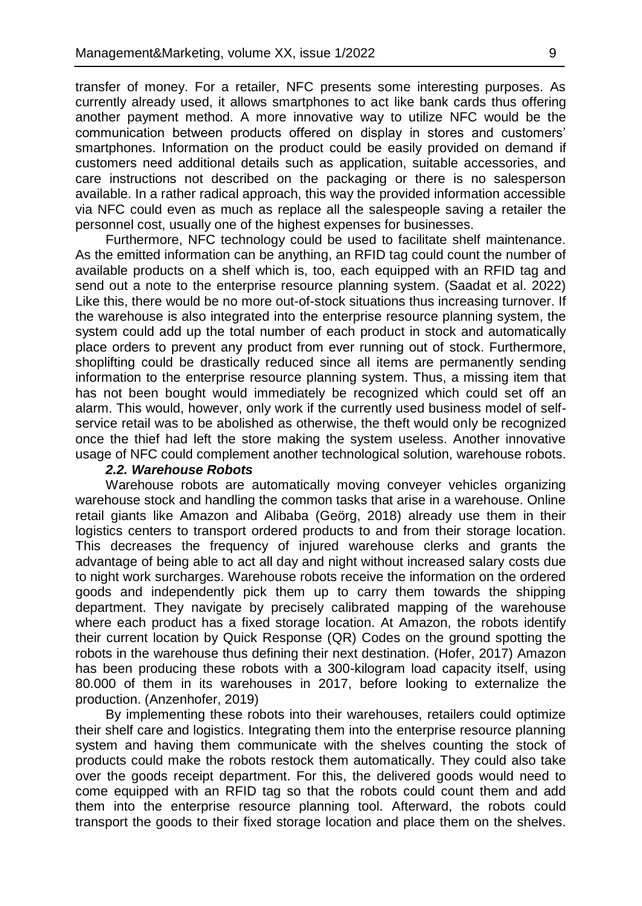transfer of money. For a retailer, NFC presents some interesting purposes. As currently already used, it allows smartphones to act like bank cards thus offering another payment method. A more innovative way to utilize NFC would be the communication between products offered on display in stores and customers' smartphones. Information on the product could be easily provided on demand if customers need additional details such as application, suitable accessories, and care instructions not described on the packaging or there is no salesperson available. In a rather radical approach, this way the provided information accessible via NFC could even as much as replace all the salespeople saving a retailer the personnel cost, usually one of the highest expenses for businesses.

Furthermore, NFC technology could be used to facilitate shelf maintenance. As the emitted information can be anything, an RFID tag could count the number of available products on a shelf which is, too, each equipped with an RFID tag and send out a note to the enterprise resource planning system. (Saadat et al. 2022) Like this, there would be no more out-of-stock situations thus increasing turnover. If the warehouse is also integrated into the enterprise resource planning system, the system could add up the total number of each product in stock and automatically place orders to prevent any product from ever running out of stock. Furthermore, shoplifting could be drastically reduced since all items are permanently sending information to the enterprise resource planning system. Thus, a missing item that has not been bought would immediately be recognized which could set off an alarm. This would, however, only work if the currently used business model of selfservice retail was to be abolished as otherwise, the theft would only be recognized once the thief had left the store making the system useless. Another innovative usage of NFC could complement another technological solution, warehouse robots.

### *2.2. Warehouse Robots*

Warehouse robots are automatically moving conveyer vehicles organizing warehouse stock and handling the common tasks that arise in a warehouse. Online retail giants like Amazon and Alibaba (Geörg, 2018) already use them in their logistics centers to transport ordered products to and from their storage location. This decreases the frequency of injured warehouse clerks and grants the advantage of being able to act all day and night without increased salary costs due to night work surcharges. Warehouse robots receive the information on the ordered goods and independently pick them up to carry them towards the shipping department. They navigate by precisely calibrated mapping of the warehouse where each product has a fixed storage location. At Amazon, the robots identify their current location by Quick Response (QR) Codes on the ground spotting the robots in the warehouse thus defining their next destination. (Hofer, 2017) Amazon has been producing these robots with a 300-kilogram load capacity itself, using 80.000 of them in its warehouses in 2017, before looking to externalize the production. (Anzenhofer, 2019)

By implementing these robots into their warehouses, retailers could optimize their shelf care and logistics. Integrating them into the enterprise resource planning system and having them communicate with the shelves counting the stock of products could make the robots restock them automatically. They could also take over the goods receipt department. For this, the delivered goods would need to come equipped with an RFID tag so that the robots could count them and add them into the enterprise resource planning tool. Afterward, the robots could transport the goods to their fixed storage location and place them on the shelves.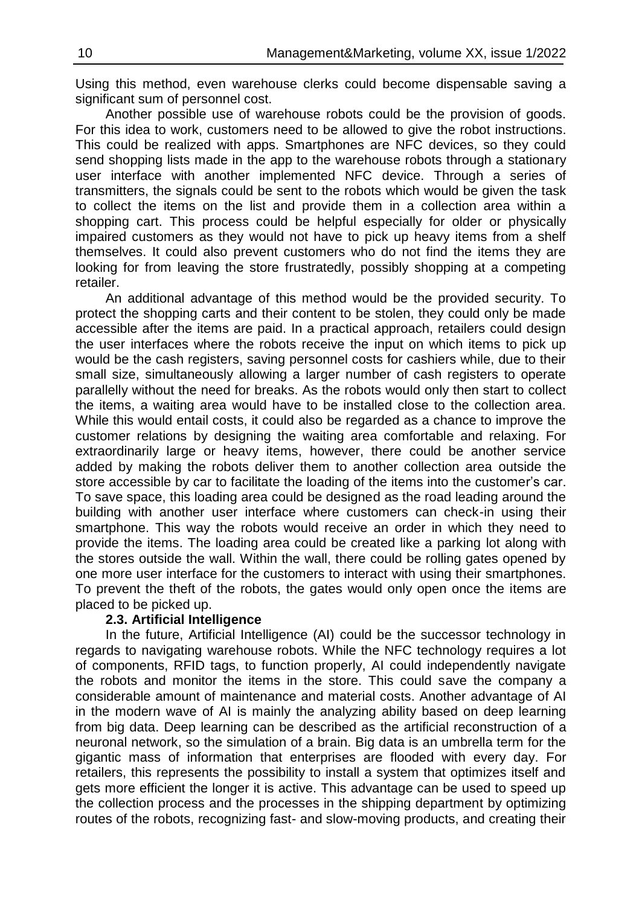Using this method, even warehouse clerks could become dispensable saving a significant sum of personnel cost.

Another possible use of warehouse robots could be the provision of goods. For this idea to work, customers need to be allowed to give the robot instructions. This could be realized with apps. Smartphones are NFC devices, so they could send shopping lists made in the app to the warehouse robots through a stationary user interface with another implemented NFC device. Through a series of transmitters, the signals could be sent to the robots which would be given the task to collect the items on the list and provide them in a collection area within a shopping cart. This process could be helpful especially for older or physically impaired customers as they would not have to pick up heavy items from a shelf themselves. It could also prevent customers who do not find the items they are looking for from leaving the store frustratedly, possibly shopping at a competing retailer.

An additional advantage of this method would be the provided security. To protect the shopping carts and their content to be stolen, they could only be made accessible after the items are paid. In a practical approach, retailers could design the user interfaces where the robots receive the input on which items to pick up would be the cash registers, saving personnel costs for cashiers while, due to their small size, simultaneously allowing a larger number of cash registers to operate parallelly without the need for breaks. As the robots would only then start to collect the items, a waiting area would have to be installed close to the collection area. While this would entail costs, it could also be regarded as a chance to improve the customer relations by designing the waiting area comfortable and relaxing. For extraordinarily large or heavy items, however, there could be another service added by making the robots deliver them to another collection area outside the store accessible by car to facilitate the loading of the items into the customer's car. To save space, this loading area could be designed as the road leading around the building with another user interface where customers can check-in using their smartphone. This way the robots would receive an order in which they need to provide the items. The loading area could be created like a parking lot along with the stores outside the wall. Within the wall, there could be rolling gates opened by one more user interface for the customers to interact with using their smartphones. To prevent the theft of the robots, the gates would only open once the items are placed to be picked up.

### **2.3. Artificial Intelligence**

In the future, Artificial Intelligence (AI) could be the successor technology in regards to navigating warehouse robots. While the NFC technology requires a lot of components, RFID tags, to function properly, AI could independently navigate the robots and monitor the items in the store. This could save the company a considerable amount of maintenance and material costs. Another advantage of AI in the modern wave of AI is mainly the analyzing ability based on deep learning from big data. Deep learning can be described as the artificial reconstruction of a neuronal network, so the simulation of a brain. Big data is an umbrella term for the gigantic mass of information that enterprises are flooded with every day. For retailers, this represents the possibility to install a system that optimizes itself and gets more efficient the longer it is active. This advantage can be used to speed up the collection process and the processes in the shipping department by optimizing routes of the robots, recognizing fast- and slow-moving products, and creating their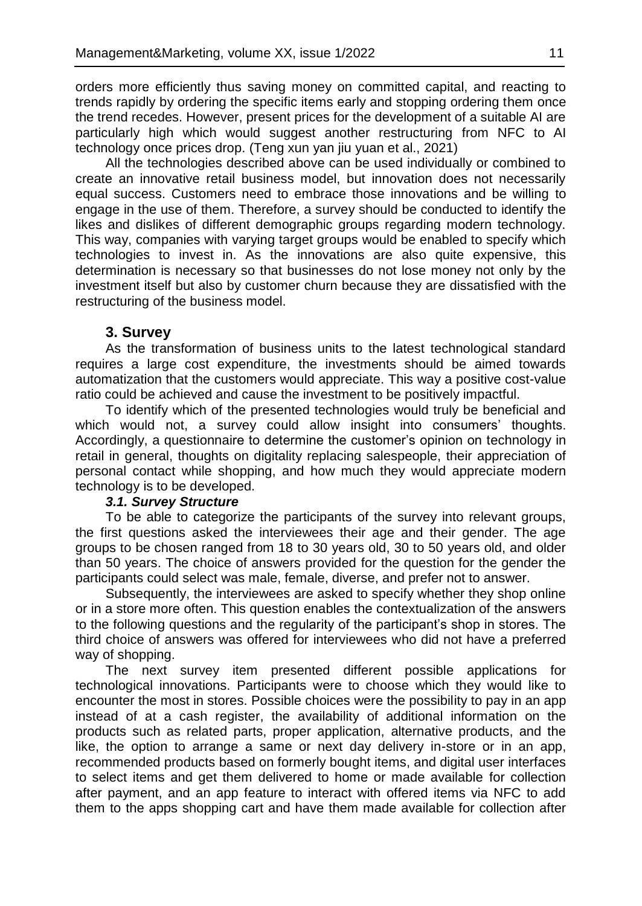orders more efficiently thus saving money on committed capital, and reacting to trends rapidly by ordering the specific items early and stopping ordering them once the trend recedes. However, present prices for the development of a suitable AI are particularly high which would suggest another restructuring from NFC to AI technology once prices drop. (Teng xun yan jiu yuan et al., 2021)

All the technologies described above can be used individually or combined to create an innovative retail business model, but innovation does not necessarily equal success. Customers need to embrace those innovations and be willing to engage in the use of them. Therefore, a survey should be conducted to identify the likes and dislikes of different demographic groups regarding modern technology. This way, companies with varying target groups would be enabled to specify which technologies to invest in. As the innovations are also quite expensive, this determination is necessary so that businesses do not lose money not only by the investment itself but also by customer churn because they are dissatisfied with the restructuring of the business model.

#### **3. Survey**

As the transformation of business units to the latest technological standard requires a large cost expenditure, the investments should be aimed towards automatization that the customers would appreciate. This way a positive cost-value ratio could be achieved and cause the investment to be positively impactful.

To identify which of the presented technologies would truly be beneficial and which would not, a survey could allow insight into consumers' thoughts. Accordingly, a questionnaire to determine the customer's opinion on technology in retail in general, thoughts on digitality replacing salespeople, their appreciation of personal contact while shopping, and how much they would appreciate modern technology is to be developed.

#### *3.1. Survey Structure*

To be able to categorize the participants of the survey into relevant groups, the first questions asked the interviewees their age and their gender. The age groups to be chosen ranged from 18 to 30 years old, 30 to 50 years old, and older than 50 years. The choice of answers provided for the question for the gender the participants could select was male, female, diverse, and prefer not to answer.

Subsequently, the interviewees are asked to specify whether they shop online or in a store more often. This question enables the contextualization of the answers to the following questions and the regularity of the participant's shop in stores. The third choice of answers was offered for interviewees who did not have a preferred way of shopping.

The next survey item presented different possible applications for technological innovations. Participants were to choose which they would like to encounter the most in stores. Possible choices were the possibility to pay in an app instead of at a cash register, the availability of additional information on the products such as related parts, proper application, alternative products, and the like, the option to arrange a same or next day delivery in-store or in an app, recommended products based on formerly bought items, and digital user interfaces to select items and get them delivered to home or made available for collection after payment, and an app feature to interact with offered items via NFC to add them to the apps shopping cart and have them made available for collection after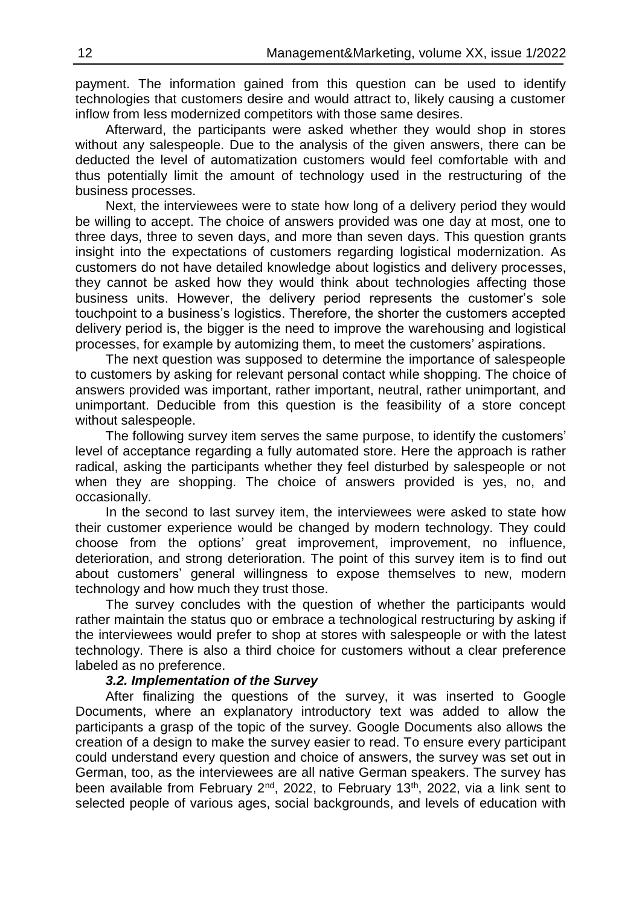payment. The information gained from this question can be used to identify technologies that customers desire and would attract to, likely causing a customer inflow from less modernized competitors with those same desires.

Afterward, the participants were asked whether they would shop in stores without any salespeople. Due to the analysis of the given answers, there can be deducted the level of automatization customers would feel comfortable with and thus potentially limit the amount of technology used in the restructuring of the business processes.

Next, the interviewees were to state how long of a delivery period they would be willing to accept. The choice of answers provided was one day at most, one to three days, three to seven days, and more than seven days. This question grants insight into the expectations of customers regarding logistical modernization. As customers do not have detailed knowledge about logistics and delivery processes, they cannot be asked how they would think about technologies affecting those business units. However, the delivery period represents the customer's sole touchpoint to a business's logistics. Therefore, the shorter the customers accepted delivery period is, the bigger is the need to improve the warehousing and logistical processes, for example by automizing them, to meet the customers' aspirations.

The next question was supposed to determine the importance of salespeople to customers by asking for relevant personal contact while shopping. The choice of answers provided was important, rather important, neutral, rather unimportant, and unimportant. Deducible from this question is the feasibility of a store concept without salespeople.

The following survey item serves the same purpose, to identify the customers' level of acceptance regarding a fully automated store. Here the approach is rather radical, asking the participants whether they feel disturbed by salespeople or not when they are shopping. The choice of answers provided is yes, no, and occasionally.

In the second to last survey item, the interviewees were asked to state how their customer experience would be changed by modern technology. They could choose from the options' great improvement, improvement, no influence, deterioration, and strong deterioration. The point of this survey item is to find out about customers' general willingness to expose themselves to new, modern technology and how much they trust those.

The survey concludes with the question of whether the participants would rather maintain the status quo or embrace a technological restructuring by asking if the interviewees would prefer to shop at stores with salespeople or with the latest technology. There is also a third choice for customers without a clear preference labeled as no preference.

### *3.2. Implementation of the Survey*

After finalizing the questions of the survey, it was inserted to Google Documents, where an explanatory introductory text was added to allow the participants a grasp of the topic of the survey. Google Documents also allows the creation of a design to make the survey easier to read. To ensure every participant could understand every question and choice of answers, the survey was set out in German, too, as the interviewees are all native German speakers. The survey has been available from February 2<sup>nd</sup>, 2022, to February 13<sup>th</sup>, 2022, via a link sent to selected people of various ages, social backgrounds, and levels of education with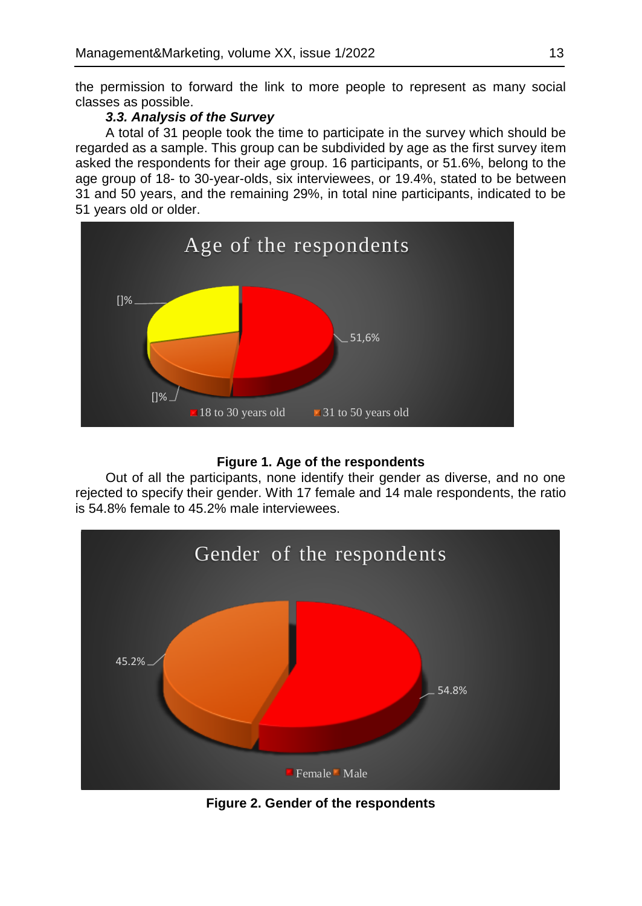the permission to forward the link to more people to represent as many social classes as possible.

# *3.3. Analysis of the Survey*

A total of 31 people took the time to participate in the survey which should be regarded as a sample. This group can be subdivided by age as the first survey item asked the respondents for their age group. 16 participants, or 51.6%, belong to the age group of 18- to 30-year-olds, six interviewees, or 19.4%, stated to be between 31 and 50 years, and the remaining 29%, in total nine participants, indicated to be 51 years old or older.



### **Figure 1. Age of the respondents**

Out of all the participants, none identify their gender as diverse, and no one rejected to specify their gender. With 17 female and 14 male respondents, the ratio is 54.8% female to 45.2% male interviewees.



**Figure 2. Gender of the respondents**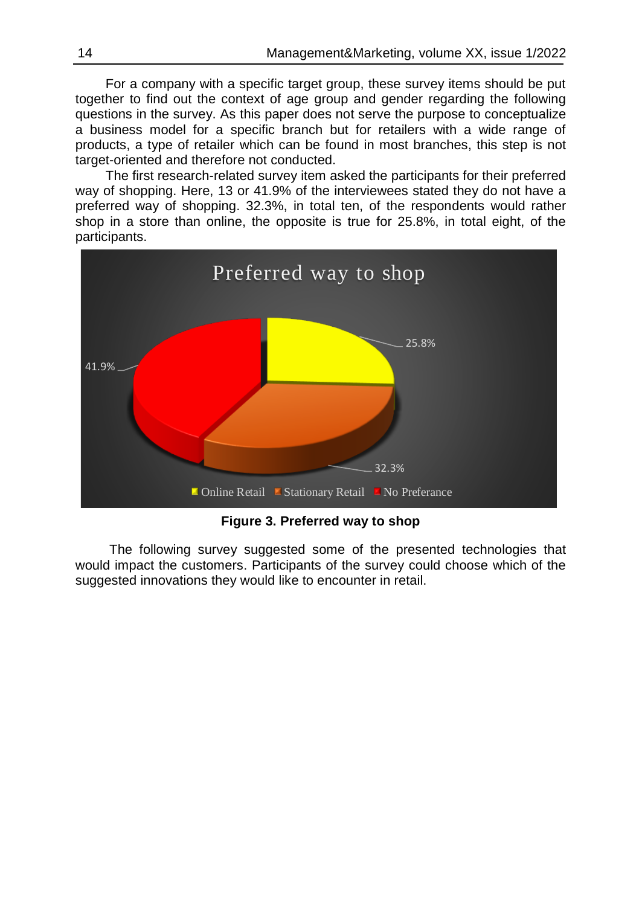For a company with a specific target group, these survey items should be put together to find out the context of age group and gender regarding the following questions in the survey. As this paper does not serve the purpose to conceptualize a business model for a specific branch but for retailers with a wide range of products, a type of retailer which can be found in most branches, this step is not target-oriented and therefore not conducted.

The first research-related survey item asked the participants for their preferred way of shopping. Here, 13 or 41.9% of the interviewees stated they do not have a preferred way of shopping. 32.3%, in total ten, of the respondents would rather shop in a store than online, the opposite is true for 25.8%, in total eight, of the participants.



**Figure 3. Preferred way to shop**

The following survey suggested some of the presented technologies that would impact the customers. Participants of the survey could choose which of the suggested innovations they would like to encounter in retail.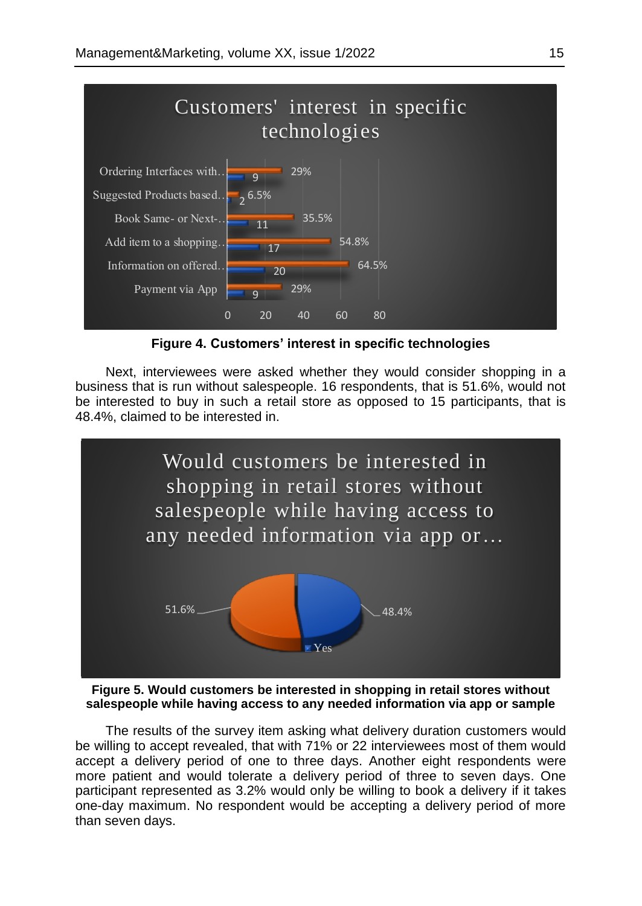

**Figure 4. Customers' interest in specific technologies**

Next, interviewees were asked whether they would consider shopping in a business that is run without salespeople. 16 respondents, that is 51.6%, would not be interested to buy in such a retail store as opposed to 15 participants, that is 48.4%, claimed to be interested in.



**Figure 5. Would customers be interested in shopping in retail stores without salespeople while having access to any needed information via app or sample**

The results of the survey item asking what delivery duration customers would be willing to accept revealed, that with 71% or 22 interviewees most of them would accept a delivery period of one to three days. Another eight respondents were more patient and would tolerate a delivery period of three to seven days. One participant represented as 3.2% would only be willing to book a delivery if it takes one-day maximum. No respondent would be accepting a delivery period of more than seven days.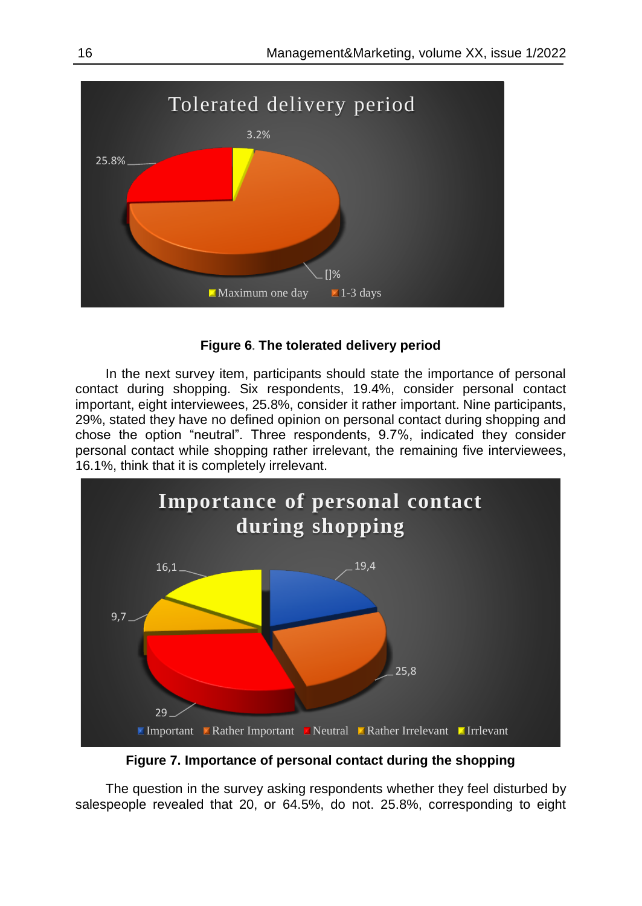

### **Figure 6. The tolerated delivery period**

In the next survey item, participants should state the importance of personal contact during shopping. Six respondents, 19.4%, consider personal contact important, eight interviewees, 25.8%, consider it rather important. Nine participants, 29%, stated they have no defined opinion on personal contact during shopping and chose the option "neutral". Three respondents, 9.7%, indicated they consider personal contact while shopping rather irrelevant, the remaining five interviewees, 16.1%, think that it is completely irrelevant.



**Figure 7. Importance of personal contact during the shopping**

The question in the survey asking respondents whether they feel disturbed by salespeople revealed that 20, or 64.5%, do not. 25.8%, corresponding to eight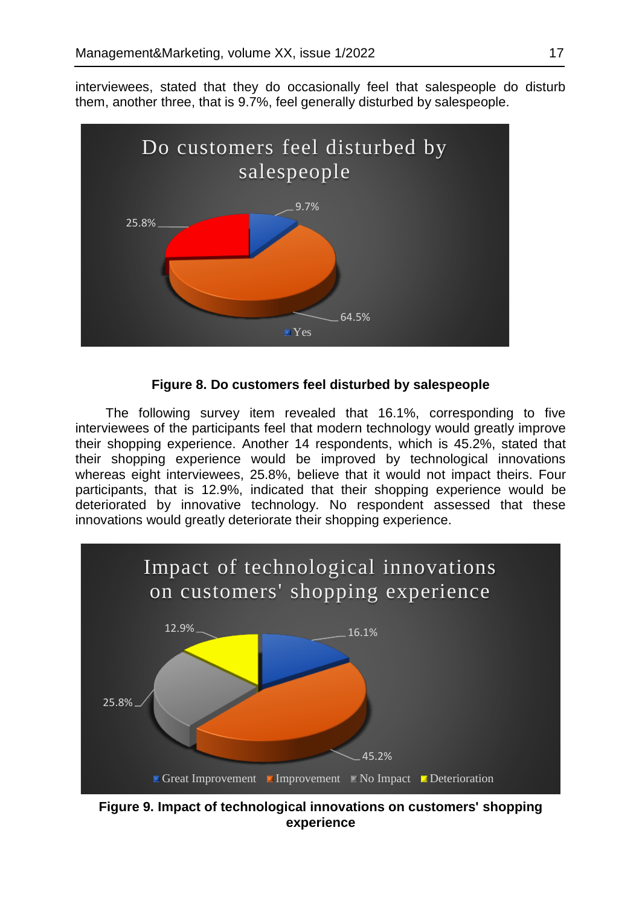interviewees, stated that they do occasionally feel that salespeople do disturb them, another three, that is 9.7%, feel generally disturbed by salespeople.



### **Figure 8. Do customers feel disturbed by salespeople**

The following survey item revealed that 16.1%, corresponding to five interviewees of the participants feel that modern technology would greatly improve their shopping experience. Another 14 respondents, which is 45.2%, stated that their shopping experience would be improved by technological innovations whereas eight interviewees, 25.8%, believe that it would not impact theirs. Four participants, that is 12.9%, indicated that their shopping experience would be deteriorated by innovative technology. No respondent assessed that these innovations would greatly deteriorate their shopping experience.



**Figure 9. Impact of technological innovations on customers' shopping experience**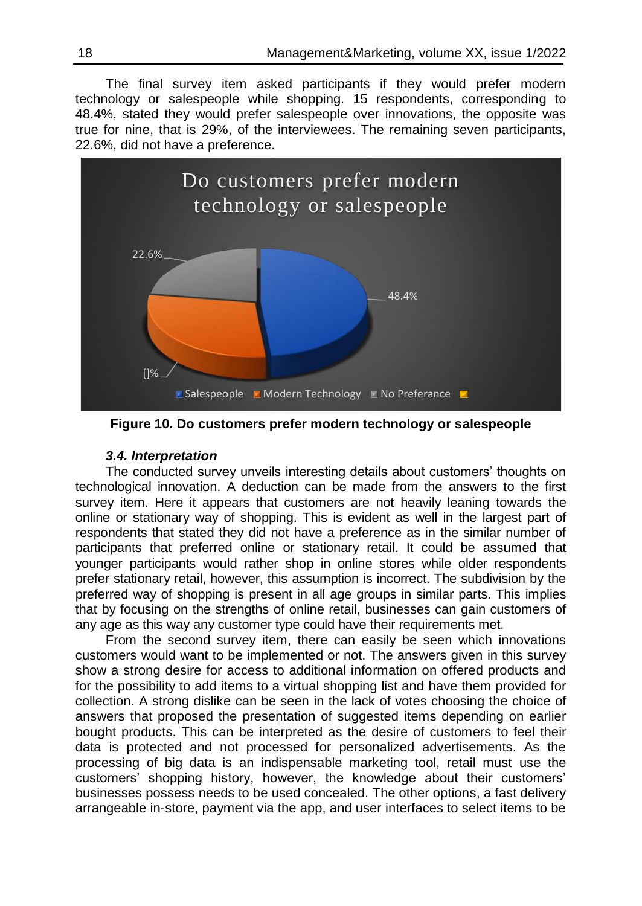֪֚֚֬֝֬֝֬֝֬֝֬֝ The final survey item asked participants if they would prefer modern technology or salespeople while shopping. 15 respondents, corresponding to 48.4%, stated they would prefer salespeople over innovations, the opposite was true for nine, that is 29%, of the interviewees. The remaining seven participants, 22.6%, did not have a preference.



**Figure 10. Do customers prefer modern technology or salespeople**

# *3.4. Interpretation*

The conducted survey unveils interesting details about customers' thoughts on technological innovation. A deduction can be made from the answers to the first survey item. Here it appears that customers are not heavily leaning towards the online or stationary way of shopping. This is evident as well in the largest part of respondents that stated they did not have a preference as in the similar number of participants that preferred online or stationary retail. It could be assumed that younger participants would rather shop in online stores while older respondents prefer stationary retail, however, this assumption is incorrect. The subdivision by the preferred way of shopping is present in all age groups in similar parts. This implies that by focusing on the strengths of online retail, businesses can gain customers of any age as this way any customer type could have their requirements met.

From the second survey item, there can easily be seen which innovations customers would want to be implemented or not. The answers given in this survey show a strong desire for access to additional information on offered products and for the possibility to add items to a virtual shopping list and have them provided for collection. A strong dislike can be seen in the lack of votes choosing the choice of answers that proposed the presentation of suggested items depending on earlier bought products. This can be interpreted as the desire of customers to feel their data is protected and not processed for personalized advertisements. As the processing of big data is an indispensable marketing tool, retail must use the customers' shopping history, however, the knowledge about their customers' businesses possess needs to be used concealed. The other options, a fast delivery arrangeable in-store, payment via the app, and user interfaces to select items to be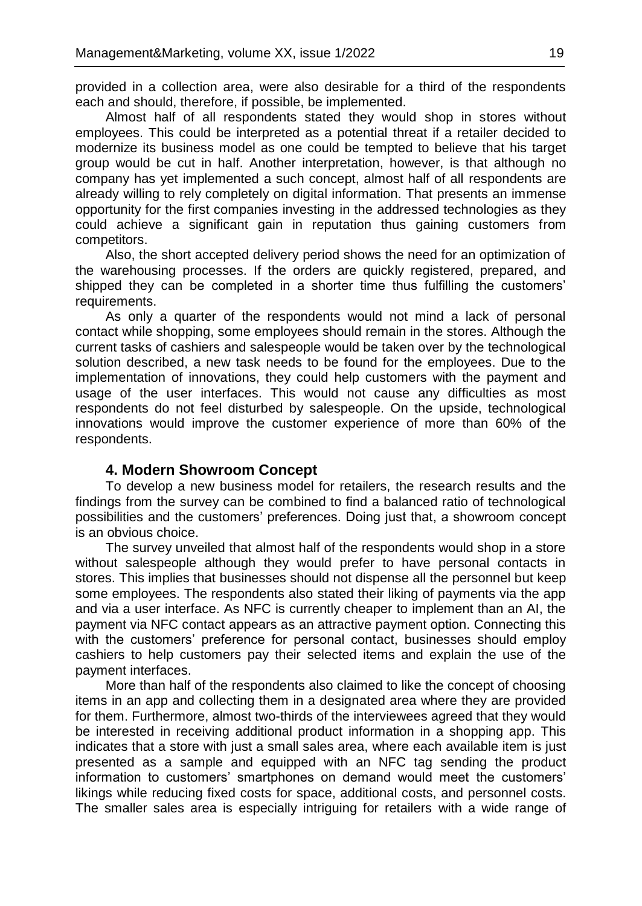provided in a collection area, were also desirable for a third of the respondents each and should, therefore, if possible, be implemented.

Almost half of all respondents stated they would shop in stores without employees. This could be interpreted as a potential threat if a retailer decided to modernize its business model as one could be tempted to believe that his target group would be cut in half. Another interpretation, however, is that although no company has yet implemented a such concept, almost half of all respondents are already willing to rely completely on digital information. That presents an immense opportunity for the first companies investing in the addressed technologies as they could achieve a significant gain in reputation thus gaining customers from competitors.

Also, the short accepted delivery period shows the need for an optimization of the warehousing processes. If the orders are quickly registered, prepared, and shipped they can be completed in a shorter time thus fulfilling the customers' requirements.

As only a quarter of the respondents would not mind a lack of personal contact while shopping, some employees should remain in the stores. Although the current tasks of cashiers and salespeople would be taken over by the technological solution described, a new task needs to be found for the employees. Due to the implementation of innovations, they could help customers with the payment and usage of the user interfaces. This would not cause any difficulties as most respondents do not feel disturbed by salespeople. On the upside, technological innovations would improve the customer experience of more than 60% of the respondents.

#### **4. Modern Showroom Concept**

To develop a new business model for retailers, the research results and the findings from the survey can be combined to find a balanced ratio of technological possibilities and the customers' preferences. Doing just that, a showroom concept is an obvious choice.

The survey unveiled that almost half of the respondents would shop in a store without salespeople although they would prefer to have personal contacts in stores. This implies that businesses should not dispense all the personnel but keep some employees. The respondents also stated their liking of payments via the app and via a user interface. As NFC is currently cheaper to implement than an AI, the payment via NFC contact appears as an attractive payment option. Connecting this with the customers' preference for personal contact, businesses should employ cashiers to help customers pay their selected items and explain the use of the payment interfaces.

More than half of the respondents also claimed to like the concept of choosing items in an app and collecting them in a designated area where they are provided for them. Furthermore, almost two-thirds of the interviewees agreed that they would be interested in receiving additional product information in a shopping app. This indicates that a store with just a small sales area, where each available item is just presented as a sample and equipped with an NFC tag sending the product information to customers' smartphones on demand would meet the customers' likings while reducing fixed costs for space, additional costs, and personnel costs. The smaller sales area is especially intriguing for retailers with a wide range of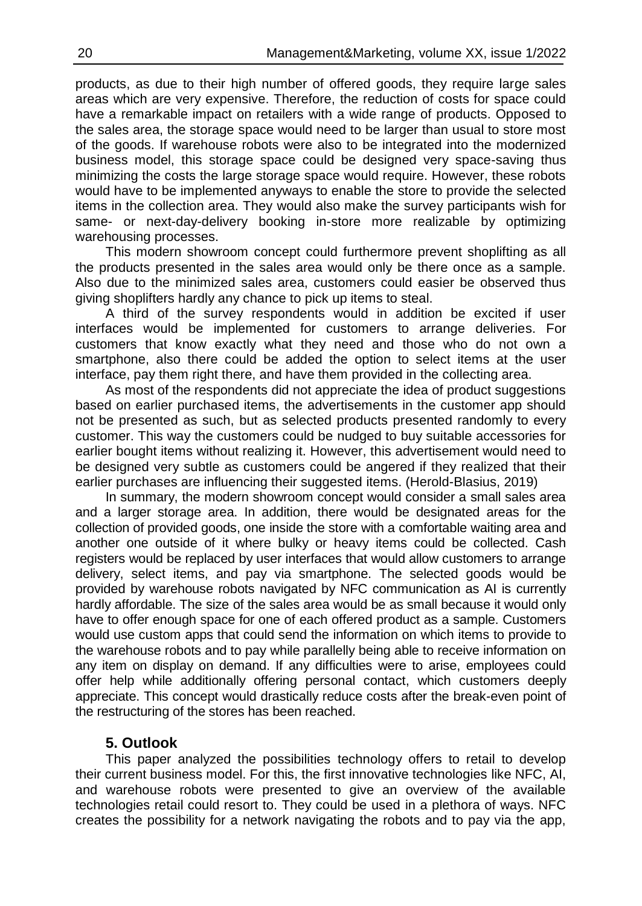products, as due to their high number of offered goods, they require large sales areas which are very expensive. Therefore, the reduction of costs for space could have a remarkable impact on retailers with a wide range of products. Opposed to the sales area, the storage space would need to be larger than usual to store most of the goods. If warehouse robots were also to be integrated into the modernized business model, this storage space could be designed very space-saving thus minimizing the costs the large storage space would require. However, these robots would have to be implemented anyways to enable the store to provide the selected items in the collection area. They would also make the survey participants wish for same- or next-day-delivery booking in-store more realizable by optimizing warehousing processes.

This modern showroom concept could furthermore prevent shoplifting as all the products presented in the sales area would only be there once as a sample. Also due to the minimized sales area, customers could easier be observed thus giving shoplifters hardly any chance to pick up items to steal.

A third of the survey respondents would in addition be excited if user interfaces would be implemented for customers to arrange deliveries. For customers that know exactly what they need and those who do not own a smartphone, also there could be added the option to select items at the user interface, pay them right there, and have them provided in the collecting area.

As most of the respondents did not appreciate the idea of product suggestions based on earlier purchased items, the advertisements in the customer app should not be presented as such, but as selected products presented randomly to every customer. This way the customers could be nudged to buy suitable accessories for earlier bought items without realizing it. However, this advertisement would need to be designed very subtle as customers could be angered if they realized that their earlier purchases are influencing their suggested items. (Herold-Blasius, 2019)

In summary, the modern showroom concept would consider a small sales area and a larger storage area. In addition, there would be designated areas for the collection of provided goods, one inside the store with a comfortable waiting area and another one outside of it where bulky or heavy items could be collected. Cash registers would be replaced by user interfaces that would allow customers to arrange delivery, select items, and pay via smartphone. The selected goods would be provided by warehouse robots navigated by NFC communication as AI is currently hardly affordable. The size of the sales area would be as small because it would only have to offer enough space for one of each offered product as a sample. Customers would use custom apps that could send the information on which items to provide to the warehouse robots and to pay while parallelly being able to receive information on any item on display on demand. If any difficulties were to arise, employees could offer help while additionally offering personal contact, which customers deeply appreciate. This concept would drastically reduce costs after the break-even point of the restructuring of the stores has been reached.

# **5. Outlook**

This paper analyzed the possibilities technology offers to retail to develop their current business model. For this, the first innovative technologies like NFC, AI, and warehouse robots were presented to give an overview of the available technologies retail could resort to. They could be used in a plethora of ways. NFC creates the possibility for a network navigating the robots and to pay via the app,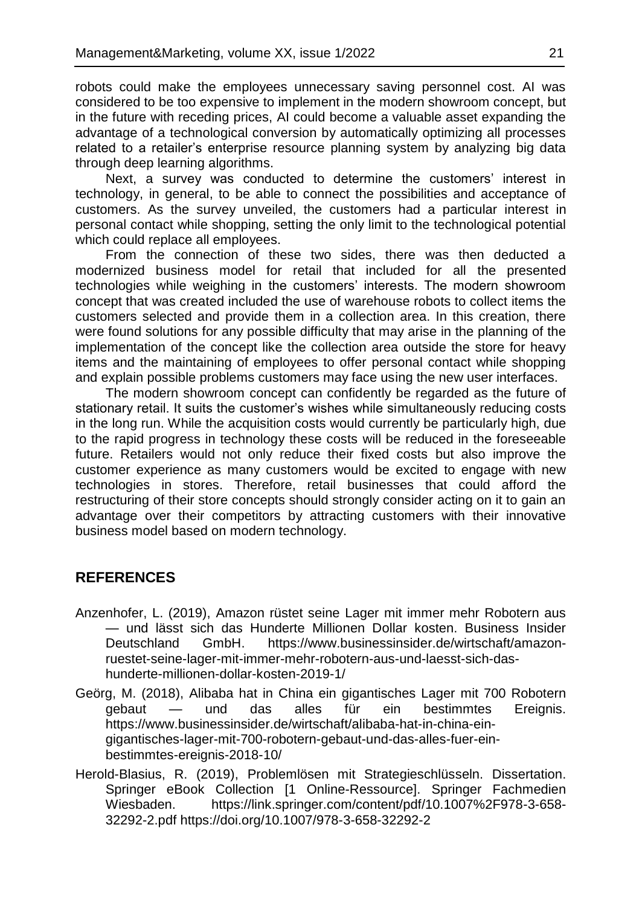robots could make the employees unnecessary saving personnel cost. AI was considered to be too expensive to implement in the modern showroom concept, but in the future with receding prices, AI could become a valuable asset expanding the advantage of a technological conversion by automatically optimizing all processes related to a retailer's enterprise resource planning system by analyzing big data through deep learning algorithms.

Next, a survey was conducted to determine the customers' interest in technology, in general, to be able to connect the possibilities and acceptance of customers. As the survey unveiled, the customers had a particular interest in personal contact while shopping, setting the only limit to the technological potential which could replace all employees.

From the connection of these two sides, there was then deducted a modernized business model for retail that included for all the presented technologies while weighing in the customers' interests. The modern showroom concept that was created included the use of warehouse robots to collect items the customers selected and provide them in a collection area. In this creation, there were found solutions for any possible difficulty that may arise in the planning of the implementation of the concept like the collection area outside the store for heavy items and the maintaining of employees to offer personal contact while shopping and explain possible problems customers may face using the new user interfaces.

The modern showroom concept can confidently be regarded as the future of stationary retail. It suits the customer's wishes while simultaneously reducing costs in the long run. While the acquisition costs would currently be particularly high, due to the rapid progress in technology these costs will be reduced in the foreseeable future. Retailers would not only reduce their fixed costs but also improve the customer experience as many customers would be excited to engage with new technologies in stores. Therefore, retail businesses that could afford the restructuring of their store concepts should strongly consider acting on it to gain an advantage over their competitors by attracting customers with their innovative business model based on modern technology.

# **REFERENCES**

- Anzenhofer, L. (2019), Amazon rüstet seine Lager mit immer mehr Robotern aus — und lässt sich das Hunderte Millionen Dollar kosten. Business Insider Deutschland GmbH. https://www.businessinsider.de/wirtschaft/amazonruestet-seine-lager-mit-immer-mehr-robotern-aus-und-laesst-sich-dashunderte-millionen-dollar-kosten-2019-1/
- Geörg, M. (2018), Alibaba hat in China ein gigantisches Lager mit 700 Robotern gebaut — und das alles für ein bestimmtes Ereignis. https://www.businessinsider.de/wirtschaft/alibaba-hat-in-china-eingigantisches-lager-mit-700-robotern-gebaut-und-das-alles-fuer-einbestimmtes-ereignis-2018-10/
- Herold-Blasius, R. (2019), Problemlösen mit Strategieschlüsseln. Dissertation. Springer eBook Collection [1 Online-Ressource]. Springer Fachmedien Wiesbaden. https://link.springer.com/content/pdf/10.1007%2F978-3-658- 32292-2.pdf https://doi.org/10.1007/978-3-658-32292-2